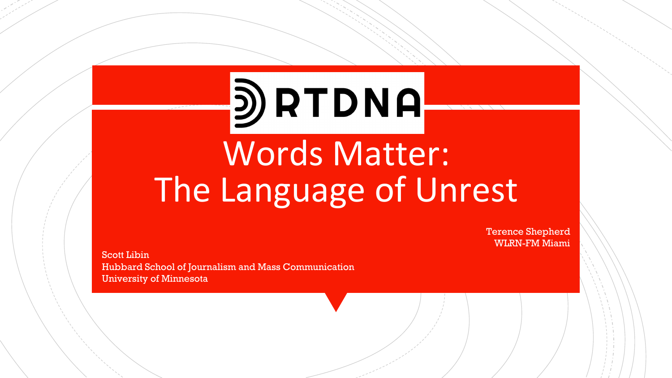# D RTDNA

# Words Matter: The Language of Unrest

Terence Shepherd WLRN-FM Miami

Scott Libin Hubbard School of Journalism and Mass Communication University of Minnesota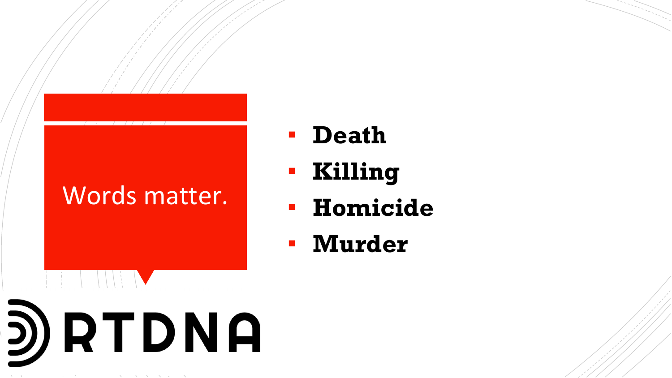D) RTDNA

- **Death**
- **Killing**
- **Homicide**
- **Murder**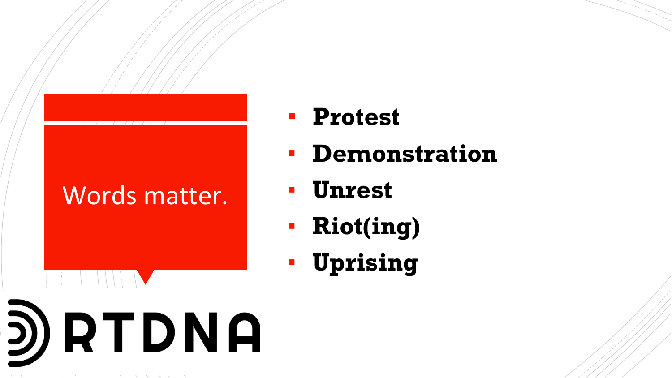- **Protest**
- **Demonstration**
- **Unrest**
- **Riot(ing)**
- **Uprising**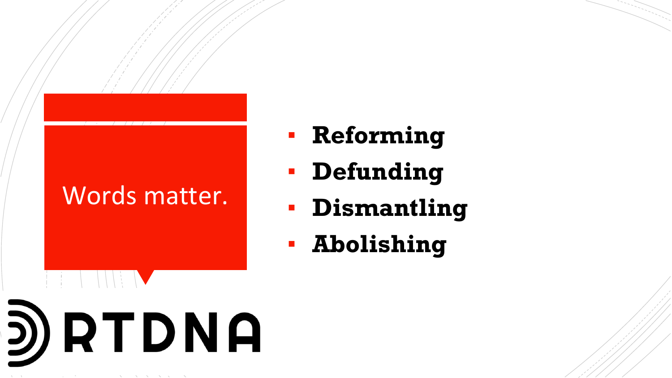- **Reforming**
- **Defunding**
- **Dismantling**
- **Abolishing**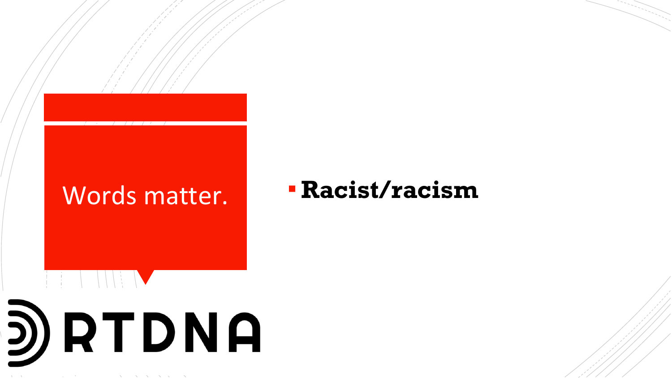D) RTDNA

# Words matter. ▪ **Racist/racism**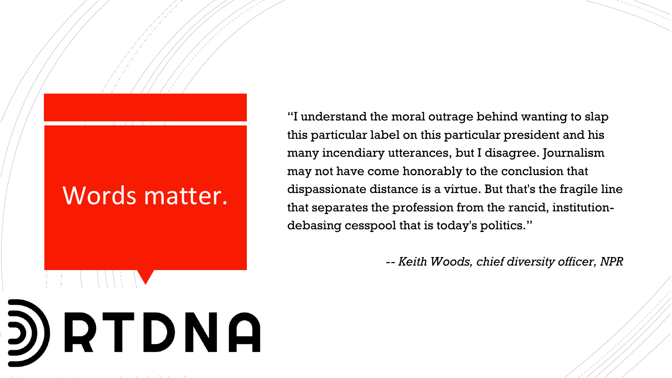D) RTDNA

"I understand the moral outrage behind wanting to slap this particular label on this particular president and his many incendiary utterances, but I disagree. Journalism may not have come honorably to the conclusion that dispassionate distance is a virtue. But that's the fragile line that separates the profession from the rancid, institutiondebasing cesspool that is today's politics."

*-- Keith Woods, chief diversity officer, NPR*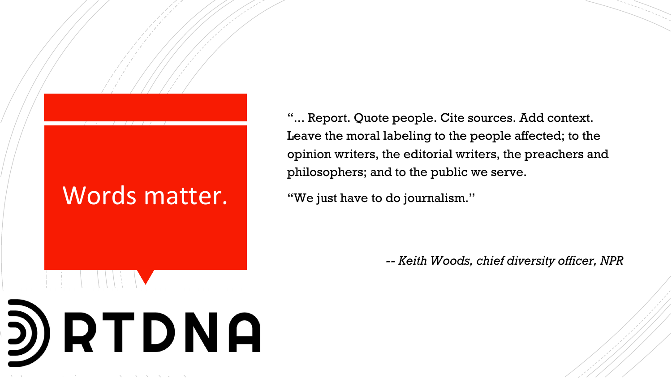D) RTDNA

"... Report. Quote people. Cite sources. Add context. Leave the moral labeling to the people affected; to the opinion writers, the editorial writers, the preachers and philosophers; and to the public we serve.

"We just have to do journalism."

*-- Keith Woods, chief diversity officer, NPR*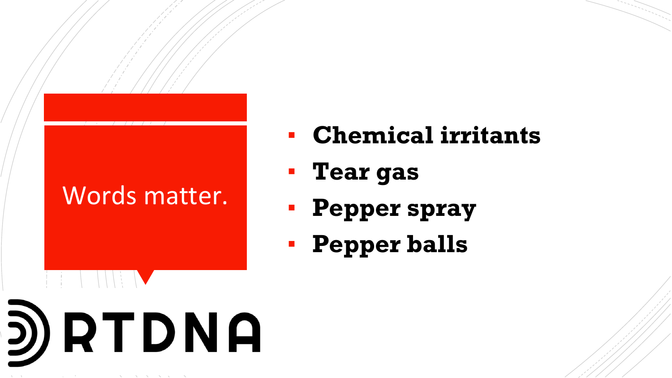- **Chemical irritants**
- **Tear gas**
- **Pepper spray**
- **Pepper balls**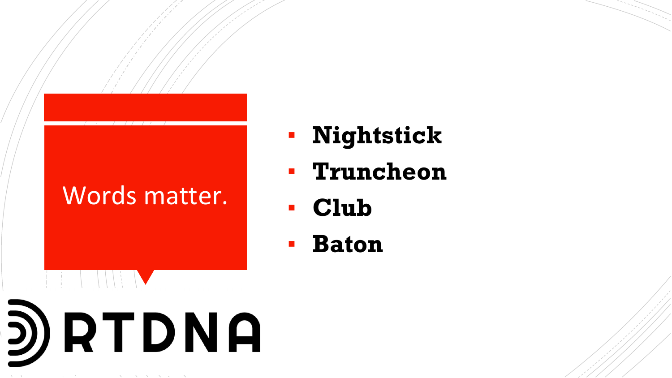- **Nightstick**
- **Truncheon**
- **Club**
- **Baton**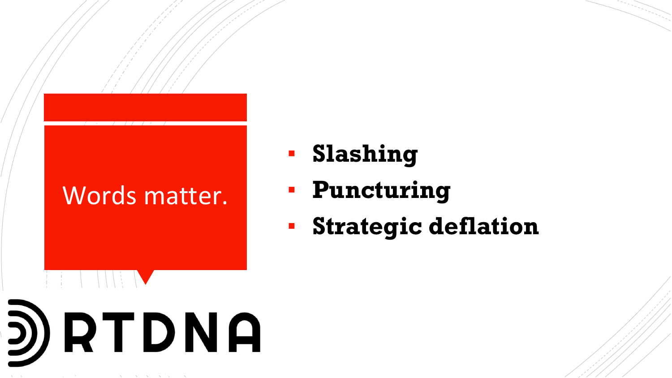- **Slashing**
- **Puncturing**
- **Strategic deflation**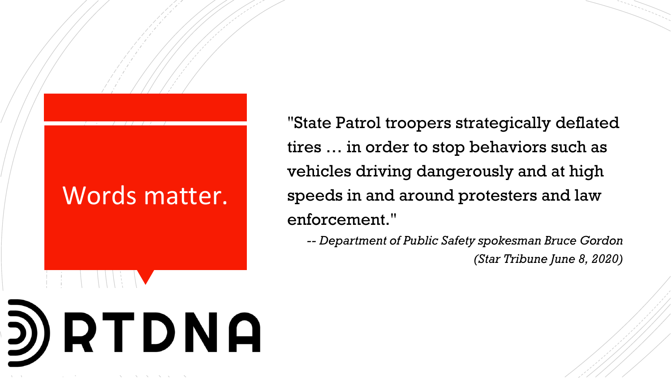D) RTDNA

"State Patrol troopers strategically deflated tires … in order to stop behaviors such as vehicles driving dangerously and at high speeds in and around protesters and law enforcement."

*-- Department of Public Safety spokesman Bruce Gordon (Star Tribune June 8, 2020)*